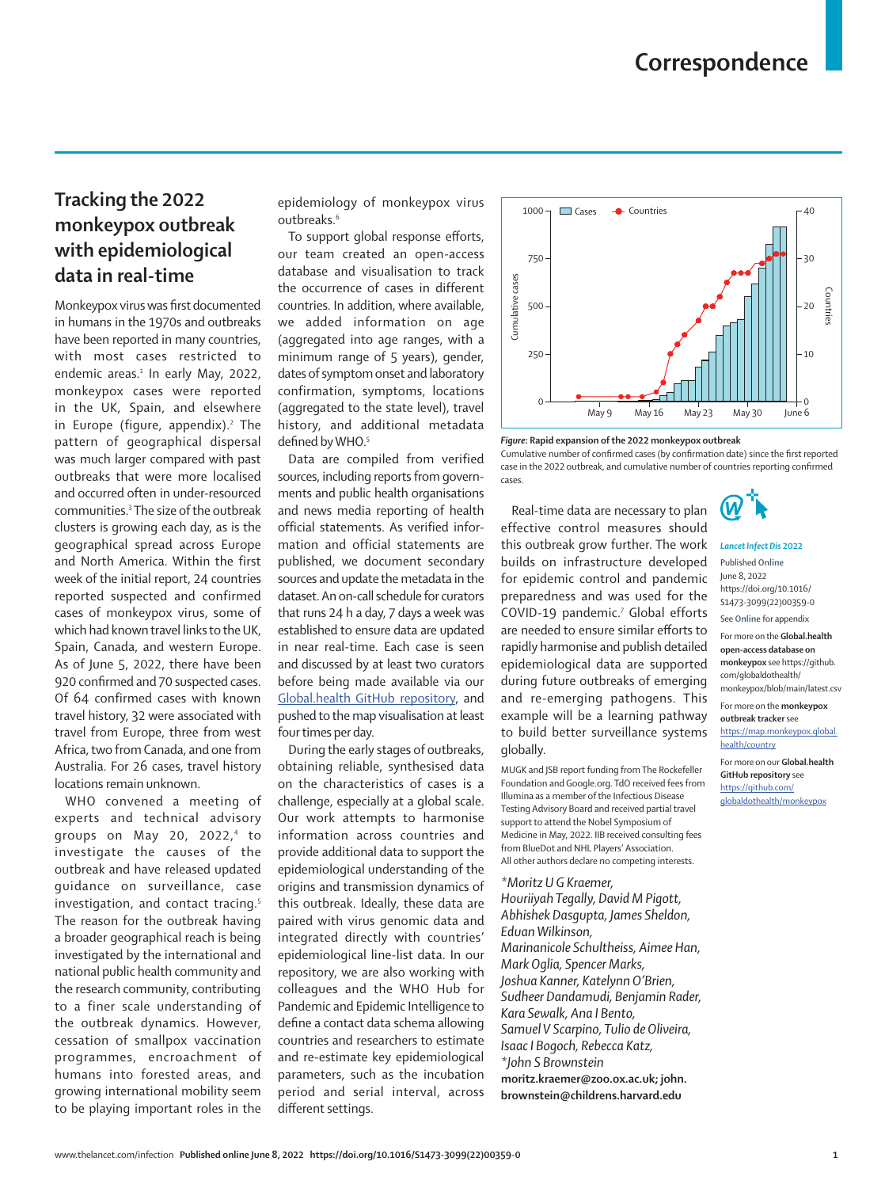## **Tracking the 2022 monkeypox outbreak with epidemiological data in real-time**

Monkeypox virus was first documented in humans in the 1970s and outbreaks have been reported in many countries, with most cases restricted to endemic areas.<sup>1</sup> In early May, 2022, monkeypox cases were reported in the UK, Spain, and elsewhere in Europe (figure, appendix).<sup>2</sup> The pattern of geographical dispersal was much larger compared with past outbreaks that were more localised and occurred often in under-resourced communities.3 The size of the outbreak clusters is growing each day, as is the geographical spread across Europe and North America. Within the first week of the initial report, 24 countries reported suspected and confirmed cases of monkeypox virus, some of which had known travel links to the UK, Spain, Canada, and western Europe. As of June 5, 2022, there have been 920 confirmed and 70 suspected cases. Of 64 confirmed cases with known travel history, 32 were associated with travel from Europe, three from west Africa, two from Canada, and one from Australia. For 26 cases, travel history locations remain unknown.

WHO convened a meeting of experts and technical advisory groups on May 20, 2022,4 to investigate the causes of the outbreak and have released updated guidance on surveillance, case investigation, and contact tracing.<sup>5</sup> The reason for the outbreak having a broader geographical reach is being investigated by the international and national public health community and the research community, contributing to a finer scale understanding of the outbreak dynamics. However, cessation of smallpox vaccination programmes, encroachment of humans into forested areas, and growing international mobility seem to be playing important roles in the

epidemiology of monkeypox virus outbreaks.6

To support global response efforts, our team created an open-access [database](https://github.com/globaldothealth/monkeypox/blob/main/latest.csv) and visualisation to [track](https://map.monkeypox.global.health/country)  [the occurrence of cases](https://map.monkeypox.global.health/country) in different countries. In addition, where available, we added information on age (aggregated into age ranges, with a minimum range of 5 years), gender, dates of symptom onset and laboratory confirmation, symptoms, locations (aggregated to the state level), travel history, and additional metadata defined by WHO.<sup>5</sup>

Data are compiled from verified sources, including reports from governments and public health organisations and news media reporting of health official statements. As verified information and official statements are published, we document secondary sources and update the metadata in the dataset. An on-call schedule for curators that runs 24 h a day, 7 days a week was established to ensure data are updated in near real-time. Each case is seen and discussed by at least two curators before being made available via our [Global.health GitHub repository,](https://github.com/globaldothealth/monkeypox) and pushed to the map visualisation at least four times per day.

During the early stages of outbreaks, obtaining reliable, synthesised data on the characteristics of cases is a challenge, especially at a global scale. Our work attempts to harmonise information across countries and provide additional data to support the epidemiological understanding of the origins and transmission dynamics of this outbreak. Ideally, these data are paired with virus genomic data and integrated directly with countries' epidemiological line-list data. In our repository, we are also working with colleagues and the WHO Hub for Pandemic and Epidemic Intelligence to define a contact data schema allowing countries and researchers to estimate and re-estimate key epidemiological parameters, such as the incubation period and serial interval, across different settings.



*Figure***: Rapid expansion of the 2022 monkeypox outbreak**

Cumulative number of confirmed cases (by confirmation date) since the first reported case in the 2022 outbreak, and cumulative number of countries reporting confirmed cases.

Real-time data are necessary to plan effective control measures should this outbreak grow further. The work builds on infrastructure developed for epidemic control and pandemic preparedness and was used for the COVID-19 pandemic.<sup>7</sup> Global efforts are needed to ensure similar efforts to rapidly harmonise and publish detailed epidemiological data are supported during future outbreaks of emerging and re-emerging pathogens. This example will be a learning pathway to build better surveillance systems globally.

MUGK and JSB report funding from The Rockefeller Foundation and Google.org. TdO received fees from Illumina as a member of the Infectious Disease Testing Advisory Board and received partial travel support to attend the Nobel Symposium of Medicine in May, 2022. IIB received consulting fees from BlueDot and NHL Players' Association. All other authors declare no competing interests.

*\*Moritz U G Kraemer, Houriiyah Tegally, David M Pigott, Abhishek Dasgupta, James Sheldon, Eduan Wilkinson, Marinanicole Schultheiss, Aimee Han, Mark Oglia, Spencer Marks, Joshua Kanner, Katelynn O'Brien, Sudheer Dandamudi, Benjamin Rader, Kara Sewalk, Ana I Bento, Samuel V Scarpino, Tulio de Oliveira, Isaac I Bogoch, Rebecca Katz, \*John S Brownstein* **moritz.kraemer@zoo.ox.ac.uk; john. brownstein@childrens.harvard.edu**



## *Lancet Infect Dis* **2022** Published **Online**

June 8, 2022 https://doi.org/10.1016/ S1473-3099(22)00359-0

See **Online** for appendix

For more on the **Global.health open-access database on monkeypox** see [https://github.](https://github.com/globaldothealth/monkeypox/blob/main/latest.csv) [com/globaldothealth/](https://github.com/globaldothealth/monkeypox/blob/main/latest.csv) [monkeypox/blob/main/latest.csv](https://github.com/globaldothealth/monkeypox/blob/main/latest.csv)

For more on the **monkeypox** 

**outbreak tracker** see [https://map.monkeypox.global.](https://map.monkeypox.global.health/country) [health/country](https://map.monkeypox.global.health/country)

For more on our **Global.health GitHub repository** see [https://github.com/](https://github.com/globaldothealth/monkeypox) [globaldothealth/monkeypox](https://github.com/globaldothealth/monkeypox)